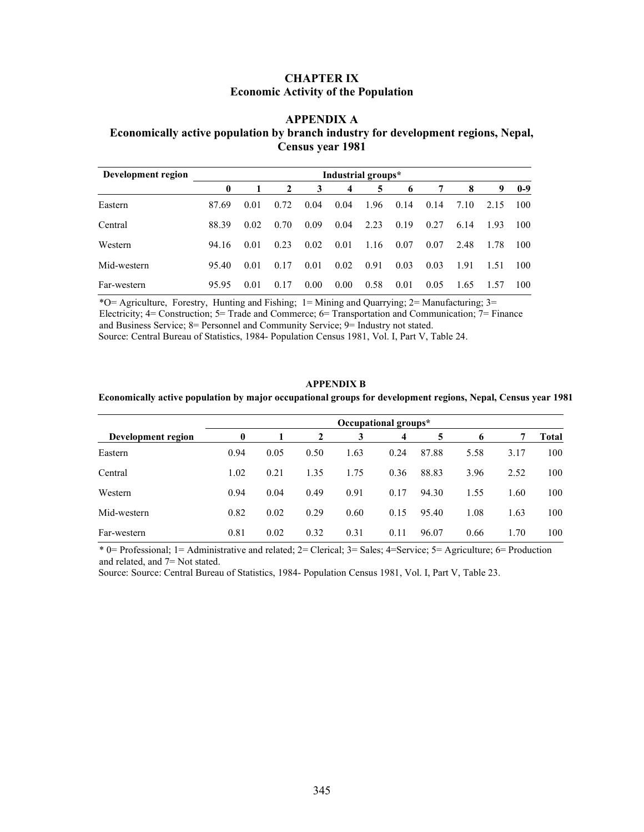## CHAPTER IX Economic Activity of the Population

### APPENDIX A

## Economically active population by branch industry for development regions, Nepal, Census year 1981

| Development region |       |      |      |      | Industrial groups* |      |      |      |      |      |       |
|--------------------|-------|------|------|------|--------------------|------|------|------|------|------|-------|
|                    | 0     |      | 2    | 3    | $\overline{4}$     | 5    | 6    |      | 8    | 9    | $0-9$ |
| Eastern            | 87.69 | 0.01 | 0.72 | 0.04 | 0.04               | 1.96 | 0.14 | 0.14 | 7.10 | 2.15 | 100   |
| Central            | 88.39 | 0.02 | 0.70 | 0.09 | 0.04               | 2.23 | 0.19 | 0.27 | 6.14 | 1.93 | 100   |
| Western            | 94.16 | 0.01 | 0.23 | 0.02 | 0.01               | 1.16 | 0.07 | 0.07 | 2.48 | 1.78 | 100   |
| Mid-western        | 95.40 | 0.01 | 0.17 | 0.01 | 0.02               | 0.91 | 0.03 | 0.03 | 1.91 | 1.51 | 100   |
| Far-western        | 95.95 | 0.01 | 0.17 | 0.00 | 0.00               | 0.58 | 0.01 | 0.05 | 1.65 | 1.57 | 100   |

\*O= Agriculture, Forestry, Hunting and Fishing;  $1 =$  Mining and Quarrying;  $2 =$  Manufacturing;  $3 =$ Electricity; 4= Construction; 5= Trade and Commerce; 6= Transportation and Communication; 7= Finance and Business Service; 8= Personnel and Community Service; 9= Industry not stated. Source: Central Bureau of Statistics, 1984- Population Census 1981, Vol. I, Part V, Table 24.

#### APPENDIX B

#### Economically active population by major occupational groups for development regions, Nepal, Census year 1981

|                    |          |      |      | Occupational groups* |                |       |      |      |       |
|--------------------|----------|------|------|----------------------|----------------|-------|------|------|-------|
| Development region | $\bf{0}$ |      | 2    |                      | $\overline{4}$ | 5     | 6    |      | Total |
| Eastern            | 0.94     | 0.05 | 0.50 | 1.63                 | 0.24           | 87.88 | 5.58 | 3.17 | 100   |
| Central            | 1.02     | 0.21 | 1.35 | 1.75                 | 0.36           | 88.83 | 3.96 | 2.52 | 100   |
| Western            | 0.94     | 0.04 | 0.49 | 0.91                 | 0.17           | 94.30 | 1.55 | 1.60 | 100   |
| Mid-western        | 0.82     | 0.02 | 0.29 | 0.60                 | 0.15           | 95.40 | 1.08 | 1.63 | 100   |
| Far-western        | 0.81     | 0.02 | 0.32 | 0.31                 | 0.11           | 96.07 | 0.66 | 1.70 | 100   |

\* 0= Professional; 1= Administrative and related; 2= Clerical; 3= Sales; 4=Service; 5= Agriculture; 6= Production and related, and 7= Not stated.

Source: Source: Central Bureau of Statistics, 1984- Population Census 1981, Vol. I, Part V, Table 23.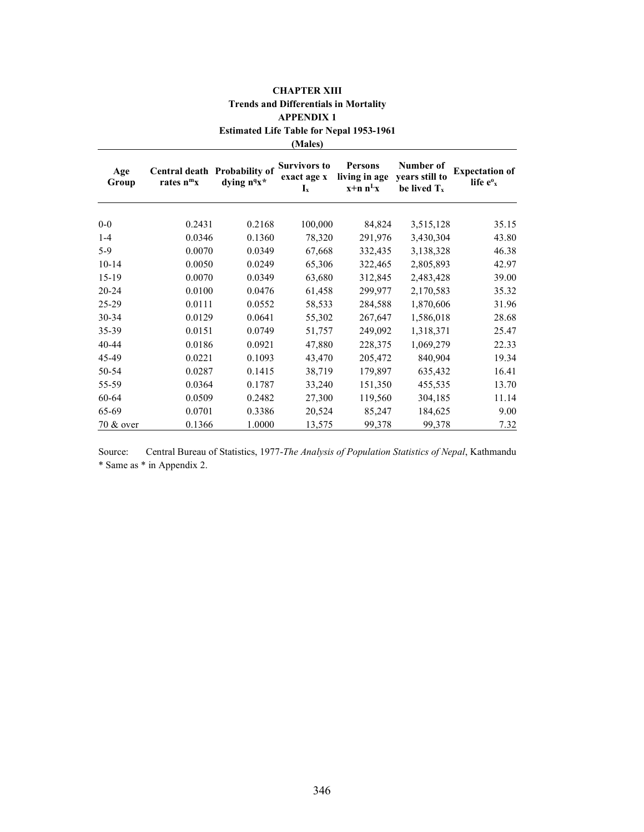## CHAPTER XIII Trends and Differentials in Mortality APPENDIX 1 Estimated Life Table for Nepal 1953-1961

(Males)

| Age<br>Group | Central death Probability of<br>rates $n^m x$ | dying n <sup>q</sup> x <sup>*</sup> | <b>Survivors to</b><br>exact age x<br>$I_x$ | Persons<br>living in age<br>$x+n n^Lx$ | Number of<br>vears still to<br>be lived $T_x$ | <b>Expectation of</b><br>life $e^{\theta}$ <sub>x</sub> |
|--------------|-----------------------------------------------|-------------------------------------|---------------------------------------------|----------------------------------------|-----------------------------------------------|---------------------------------------------------------|
| $0-0$        | 0.2431                                        | 0.2168                              | 100,000                                     | 84,824                                 | 3,515,128                                     | 35.15                                                   |
| $1 - 4$      | 0.0346                                        | 0.1360                              | 78,320                                      | 291,976                                | 3,430,304                                     | 43.80                                                   |
| $5-9$        | 0.0070                                        | 0.0349                              | 67,668                                      | 332,435                                | 3,138,328                                     | 46.38                                                   |
| $10 - 14$    | 0.0050                                        | 0.0249                              | 65,306                                      | 322,465                                | 2,805,893                                     | 42.97                                                   |
| $15-19$      | 0.0070                                        | 0.0349                              | 63,680                                      | 312,845                                | 2,483,428                                     | 39.00                                                   |
| 20-24        | 0.0100                                        | 0.0476                              | 61,458                                      | 299,977                                | 2,170,583                                     | 35.32                                                   |
| 25-29        | 0.0111                                        | 0.0552                              | 58,533                                      | 284,588                                | 1,870,606                                     | 31.96                                                   |
| $30 - 34$    | 0.0129                                        | 0.0641                              | 55,302                                      | 267,647                                | 1,586,018                                     | 28.68                                                   |
| 35-39        | 0.0151                                        | 0.0749                              | 51,757                                      | 249,092                                | 1,318,371                                     | 25.47                                                   |
| $40 - 44$    | 0.0186                                        | 0.0921                              | 47,880                                      | 228,375                                | 1,069,279                                     | 22.33                                                   |
| 45-49        | 0.0221                                        | 0.1093                              | 43,470                                      | 205,472                                | 840,904                                       | 19.34                                                   |
| 50-54        | 0.0287                                        | 0.1415                              | 38,719                                      | 179,897                                | 635,432                                       | 16.41                                                   |
| 55-59        | 0.0364                                        | 0.1787                              | 33,240                                      | 151,350                                | 455,535                                       | 13.70                                                   |
| 60-64        | 0.0509                                        | 0.2482                              | 27,300                                      | 119,560                                | 304,185                                       | 11.14                                                   |
| 65-69        | 0.0701                                        | 0.3386                              | 20,524                                      | 85,247                                 | 184,625                                       | 9.00                                                    |
| 70 & over    | 0.1366                                        | 1.0000                              | 13,575                                      | 99,378                                 | 99,378                                        | 7.32                                                    |

Source: Central Bureau of Statistics, 1977-The Analysis of Population Statistics of Nepal, Kathmandu \* Same as \* in Appendix 2.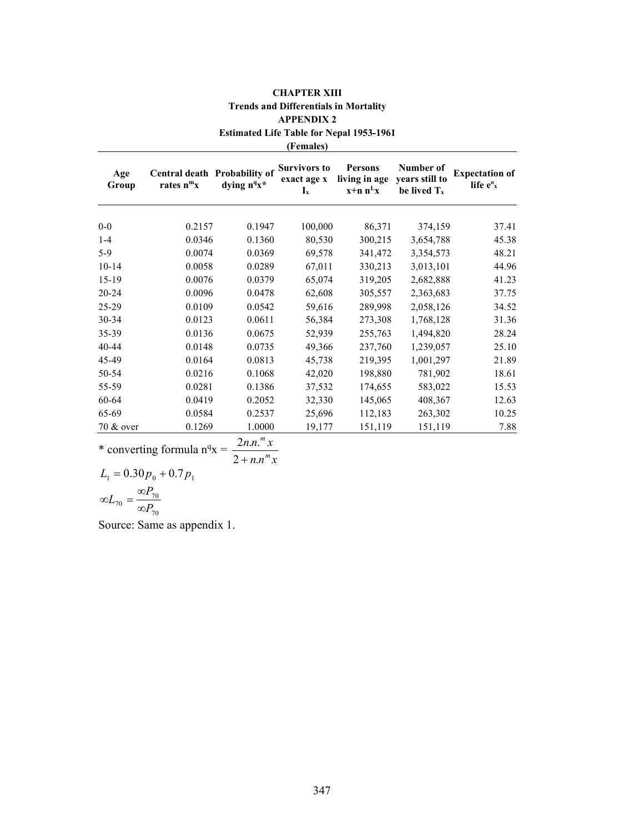|              |                                               |                                     | <b>APPENDIX 2</b>                                               |                                                 |                                               |                                                         |
|--------------|-----------------------------------------------|-------------------------------------|-----------------------------------------------------------------|-------------------------------------------------|-----------------------------------------------|---------------------------------------------------------|
|              |                                               |                                     |                                                                 | <b>Estimated Life Table for Nepal 1953-1961</b> |                                               |                                                         |
|              |                                               |                                     | (Females)                                                       |                                                 |                                               |                                                         |
| Age<br>Group | Central death Probability of<br>rates $n^m x$ | dying n <sup>q</sup> x <sup>*</sup> | <b>Survivors to</b><br>exact age x<br>$\mathbf{I}_{\mathbf{x}}$ | <b>Persons</b><br>living in age<br>$x+n n^Lx$   | Number of<br>years still to<br>be lived $T_x$ | <b>Expectation of</b><br>life $e^{\theta}$ <sub>x</sub> |
| $0-0$        | 0.2157                                        | 0.1947                              | 100,000                                                         | 86,371                                          | 374,159                                       | 37.41                                                   |
| $1 - 4$      | 0.0346                                        | 0.1360                              | 80,530                                                          | 300,215                                         | 3,654,788                                     | 45.38                                                   |
| $5-9$        | 0.0074                                        | 0.0369                              | 69,578                                                          | 341,472                                         | 3,354,573                                     | 48.21                                                   |
| $10 - 14$    | 0.0058                                        | 0.0289                              | 67,011                                                          | 330,213                                         | 3,013,101                                     | 44.96                                                   |
| $15-19$      | 0.0076                                        | 0.0379                              | 65,074                                                          | 319,205                                         | 2,682,888                                     | 41.23                                                   |
| $20 - 24$    | 0.0096                                        | 0.0478                              | 62,608                                                          | 305,557                                         | 2,363,683                                     | 37.75                                                   |
| 25-29        | 0.0109                                        | 0.0542                              | 59,616                                                          | 289,998                                         | 2,058,126                                     | 34.52                                                   |
| 30-34        | 0.0123                                        | 0.0611                              | 56,384                                                          | 273,308                                         | 1,768,128                                     | 31.36                                                   |
| 35-39        | 0.0136                                        | 0.0675                              | 52,939                                                          | 255,763                                         | 1,494,820                                     | 28.24                                                   |
| 40-44        | 0.0148                                        | 0.0735                              | 49,366                                                          | 237,760                                         | 1,239,057                                     | 25.10                                                   |
| 45-49        | 0.0164                                        | 0.0813                              | 45,738                                                          | 219,395                                         | 1,001,297                                     | 21.89                                                   |
| 50-54        | 0.0216                                        | 0.1068                              | 42,020                                                          | 198,880                                         | 781,902                                       | 18.61                                                   |
| 55-59        | 0.0281                                        | 0.1386                              | 37,532                                                          | 174,655                                         | 583,022                                       | 15.53                                                   |
| 60-64        | 0.0419                                        | 0.2052                              | 32,330                                                          | 145,065                                         | 408,367                                       | 12.63                                                   |
| 65-69        | 0.0584                                        | 0.2537                              | 25,696                                                          | 112,183                                         | 263,302                                       | 10.25                                                   |
| 70 & over    | 0.1269                                        | 1.0000                              | 19,177                                                          | 151,119                                         | 151,119                                       | 7.88                                                    |

CHAPTER XIII Trends and Differentials in Mortality APPENDIX 2

\* converting formula  $n^q$ x =  $n.n^m x$  $n.n.^{m}x$ m m  $2 + n$ .  $2n.n.$  $^{+}$ 

 $L_1 = 0.30 p_0 + 0.7 p_1$  $T_70 = \frac{Q_7}{Q_70}T_{70}$  $L_{70} = \frac{\infty P_7}{\sqrt{2}}$ ∞i  $\infty L_{70} = \frac{\infty I}{I}$ 

Source: Same as appendix 1.

70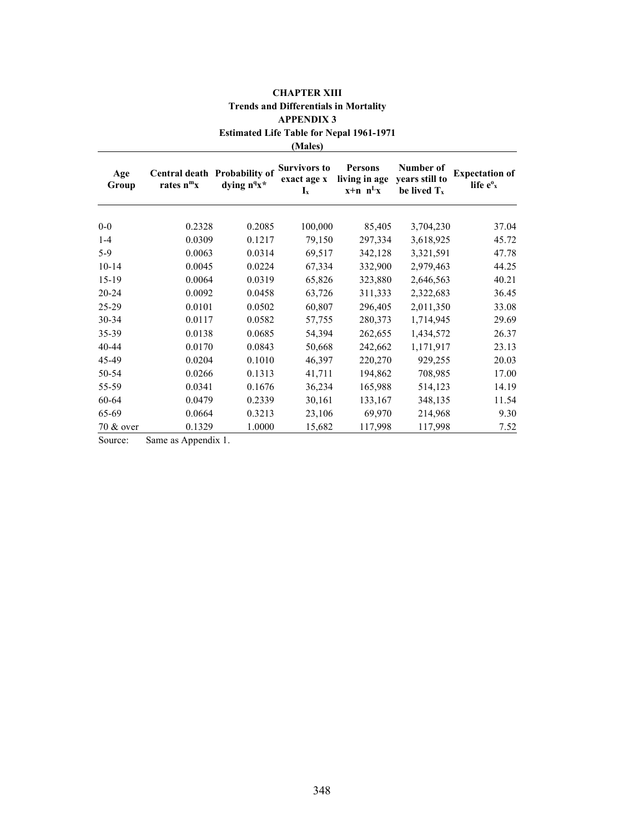|              | APPENDIA 3<br><b>Estimated Life Table for Nepal 1961-1971</b><br>(Males) |                 |                                                                 |                                                 |                                               |                                                         |  |
|--------------|--------------------------------------------------------------------------|-----------------|-----------------------------------------------------------------|-------------------------------------------------|-----------------------------------------------|---------------------------------------------------------|--|
| Age<br>Group | Central death Probability of<br>rates $n^m x$                            | dying $n^q x^*$ | <b>Survivors to</b><br>exact age x<br>$\mathbf{I}_{\mathbf{x}}$ | <b>Persons</b><br>living in age<br>$x+n$ $n^Lx$ | Number of<br>years still to<br>be lived $T_x$ | <b>Expectation of</b><br>life $e^{\theta}$ <sub>x</sub> |  |
| $0-0$        | 0.2328                                                                   | 0.2085          | 100,000                                                         | 85,405                                          | 3,704,230                                     | 37.04                                                   |  |
| $1 - 4$      | 0.0309                                                                   | 0.1217          | 79,150                                                          | 297,334                                         | 3,618,925                                     | 45.72                                                   |  |
| $5-9$        | 0.0063                                                                   | 0.0314          | 69,517                                                          | 342,128                                         | 3,321,591                                     | 47.78                                                   |  |
| $10 - 14$    | 0.0045                                                                   | 0.0224          | 67,334                                                          | 332,900                                         | 2,979,463                                     | 44.25                                                   |  |
| $15-19$      | 0.0064                                                                   | 0.0319          | 65,826                                                          | 323,880                                         | 2,646,563                                     | 40.21                                                   |  |
| $20 - 24$    | 0.0092                                                                   | 0.0458          | 63,726                                                          | 311,333                                         | 2,322,683                                     | 36.45                                                   |  |
| 25-29        | 0.0101                                                                   | 0.0502          | 60,807                                                          | 296,405                                         | 2,011,350                                     | 33.08                                                   |  |
| 30-34        | 0.0117                                                                   | 0.0582          | 57,755                                                          | 280,373                                         | 1,714,945                                     | 29.69                                                   |  |
| 35-39        | 0.0138                                                                   | 0.0685          | 54,394                                                          | 262,655                                         | 1,434,572                                     | 26.37                                                   |  |
| 40-44        | 0.0170                                                                   | 0.0843          | 50,668                                                          | 242,662                                         | 1,171,917                                     | 23.13                                                   |  |
| 45-49        | 0.0204                                                                   | 0.1010          | 46,397                                                          | 220,270                                         | 929,255                                       | 20.03                                                   |  |
| 50-54        | 0.0266                                                                   | 0.1313          | 41,711                                                          | 194,862                                         | 708,985                                       | 17.00                                                   |  |
| 55-59        | 0.0341                                                                   | 0.1676          | 36,234                                                          | 165,988                                         | 514,123                                       | 14.19                                                   |  |
| 60-64        | 0.0479                                                                   | 0.2339          | 30,161                                                          | 133,167                                         | 348,135                                       | 11.54                                                   |  |
| 65-69        | 0.0664                                                                   | 0.3213          | 23,106                                                          | 69,970                                          | 214,968                                       | 9.30                                                    |  |
| 70 & over    | 0.1329                                                                   | 1.0000          | 15,682                                                          | 117,998                                         | 117,998                                       | 7.52                                                    |  |

# CHAPTER XIII Trends and Differentials in Mortality APPENDIX 3

Source: Same as Appendix 1.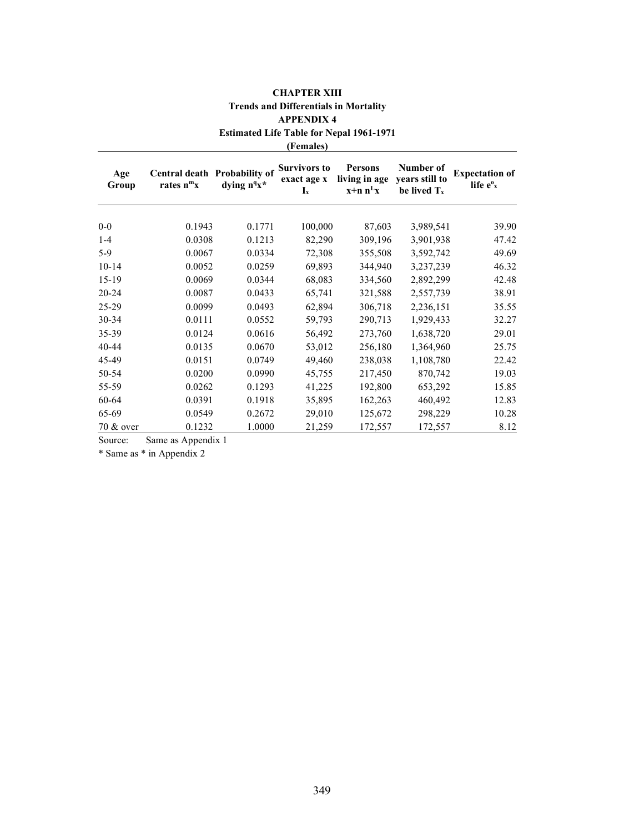|              | APPENDIX 4<br><b>Estimated Life Table for Nepal 1961-1971</b><br>(Females) |                                     |                                                                 |                                               |                                               |                                                |  |
|--------------|----------------------------------------------------------------------------|-------------------------------------|-----------------------------------------------------------------|-----------------------------------------------|-----------------------------------------------|------------------------------------------------|--|
| Age<br>Group | Central death Probability of<br>rates $n^m x$                              | dying n <sup>q</sup> x <sup>*</sup> | <b>Survivors to</b><br>exact age x<br>$\mathbf{I}_{\mathbf{x}}$ | <b>Persons</b><br>living in age<br>$x+n n^Lx$ | Number of<br>years still to<br>be lived $T_x$ | <b>Expectation of</b><br>life e <sup>o</sup> x |  |
| $0-0$        | 0.1943                                                                     | 0.1771                              | 100,000                                                         | 87,603                                        | 3,989,541                                     | 39.90                                          |  |
| $1 - 4$      | 0.0308                                                                     | 0.1213                              | 82,290                                                          | 309,196                                       | 3,901,938                                     | 47.42                                          |  |
| $5-9$        | 0.0067                                                                     | 0.0334                              | 72,308                                                          | 355,508                                       | 3,592,742                                     | 49.69                                          |  |
| $10 - 14$    | 0.0052                                                                     | 0.0259                              | 69,893                                                          | 344,940                                       | 3,237,239                                     | 46.32                                          |  |
| $15-19$      | 0.0069                                                                     | 0.0344                              | 68,083                                                          | 334,560                                       | 2,892,299                                     | 42.48                                          |  |
| 20-24        | 0.0087                                                                     | 0.0433                              | 65,741                                                          | 321,588                                       | 2,557,739                                     | 38.91                                          |  |
| 25-29        | 0.0099                                                                     | 0.0493                              | 62,894                                                          | 306,718                                       | 2,236,151                                     | 35.55                                          |  |
| 30-34        | 0.0111                                                                     | 0.0552                              | 59,793                                                          | 290,713                                       | 1,929,433                                     | 32.27                                          |  |
| 35-39        | 0.0124                                                                     | 0.0616                              | 56,492                                                          | 273,760                                       | 1,638,720                                     | 29.01                                          |  |
| $40 - 44$    | 0.0135                                                                     | 0.0670                              | 53,012                                                          | 256,180                                       | 1,364,960                                     | 25.75                                          |  |
| 45-49        | 0.0151                                                                     | 0.0749                              | 49,460                                                          | 238,038                                       | 1,108,780                                     | 22.42                                          |  |
| 50-54        | 0.0200                                                                     | 0.0990                              | 45,755                                                          | 217,450                                       | 870,742                                       | 19.03                                          |  |
| 55-59        | 0.0262                                                                     | 0.1293                              | 41,225                                                          | 192,800                                       | 653,292                                       | 15.85                                          |  |
| 60-64        | 0.0391                                                                     | 0.1918                              | 35,895                                                          | 162,263                                       | 460,492                                       | 12.83                                          |  |
| 65-69        | 0.0549                                                                     | 0.2672                              | 29,010                                                          | 125,672                                       | 298,229                                       | 10.28                                          |  |
| 70 & over    | 0.1232                                                                     | 1.0000                              | 21,259                                                          | 172,557                                       | 172,557                                       | 8.12                                           |  |

# CHAPTER XIII Trends and Differentials in Mortality APPENDIX 4

Source: Same as Appendix 1

\* Same as \* in Appendix 2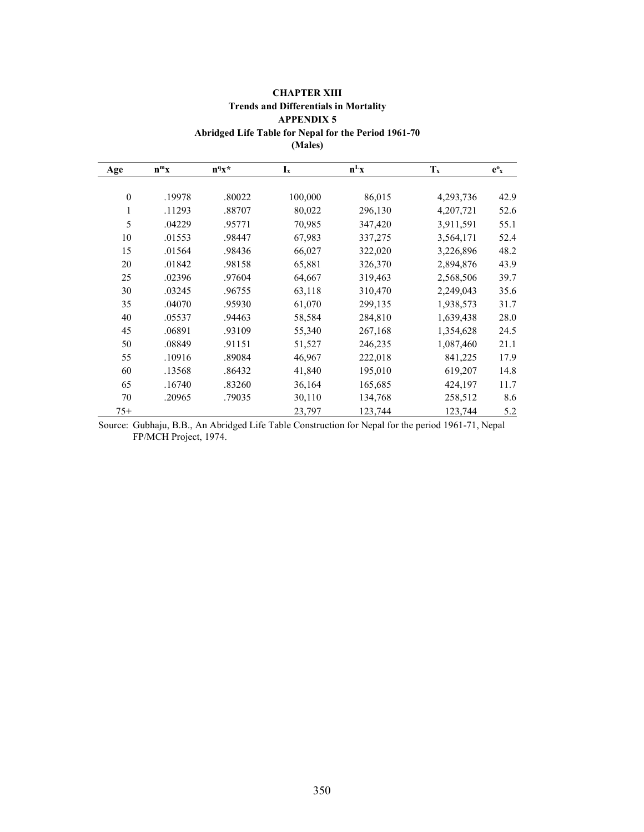| <b>CHAPTER XIII</b>                                  |
|------------------------------------------------------|
| <b>Trends and Differentials in Mortality</b>         |
| <b>APPENDIX 5</b>                                    |
| Abridged Life Table for Nepal for the Period 1961-70 |

| $\mathbf{M}$ . Dividence                 |
|------------------------------------------|
| d Life Table for Nepal for the Period 1! |
| (Moloc)                                  |

| (Males) |
|---------|
|---------|

| Age          | $n^m x$ | $n^q x^*$ | $I_x$   | $n^Lx$  | $T_x$     | $e^o_x$ |
|--------------|---------|-----------|---------|---------|-----------|---------|
|              |         |           |         |         |           |         |
| $\mathbf{0}$ | .19978  | .80022    | 100,000 | 86,015  | 4,293,736 | 42.9    |
| 1            | .11293  | .88707    | 80,022  | 296,130 | 4,207,721 | 52.6    |
| 5            | .04229  | .95771    | 70,985  | 347,420 | 3,911,591 | 55.1    |
| 10           | .01553  | .98447    | 67,983  | 337,275 | 3,564,171 | 52.4    |
| 15           | .01564  | .98436    | 66,027  | 322,020 | 3,226,896 | 48.2    |
| 20           | .01842  | .98158    | 65,881  | 326,370 | 2,894,876 | 43.9    |
| 25           | .02396  | .97604    | 64,667  | 319,463 | 2,568,506 | 39.7    |
| 30           | .03245  | .96755    | 63,118  | 310,470 | 2,249,043 | 35.6    |
| 35           | .04070  | .95930    | 61,070  | 299,135 | 1,938,573 | 31.7    |
| 40           | .05537  | .94463    | 58,584  | 284,810 | 1,639,438 | 28.0    |
| 45           | .06891  | .93109    | 55,340  | 267,168 | 1,354,628 | 24.5    |
| 50           | .08849  | .91151    | 51,527  | 246,235 | 1,087,460 | 21.1    |
| 55           | .10916  | .89084    | 46,967  | 222,018 | 841,225   | 17.9    |
| 60           | .13568  | .86432    | 41,840  | 195,010 | 619,207   | 14.8    |
| 65           | .16740  | .83260    | 36,164  | 165,685 | 424,197   | 11.7    |
| 70           | .20965  | .79035    | 30,110  | 134,768 | 258,512   | 8.6     |
| $75+$        |         |           | 23,797  | 123,744 | 123,744   | 5.2     |

Source: Gubhaju, B.B., An Abridged Life Table Construction for Nepal for the period 1961-71, Nepal FP/MCH Project, 1974.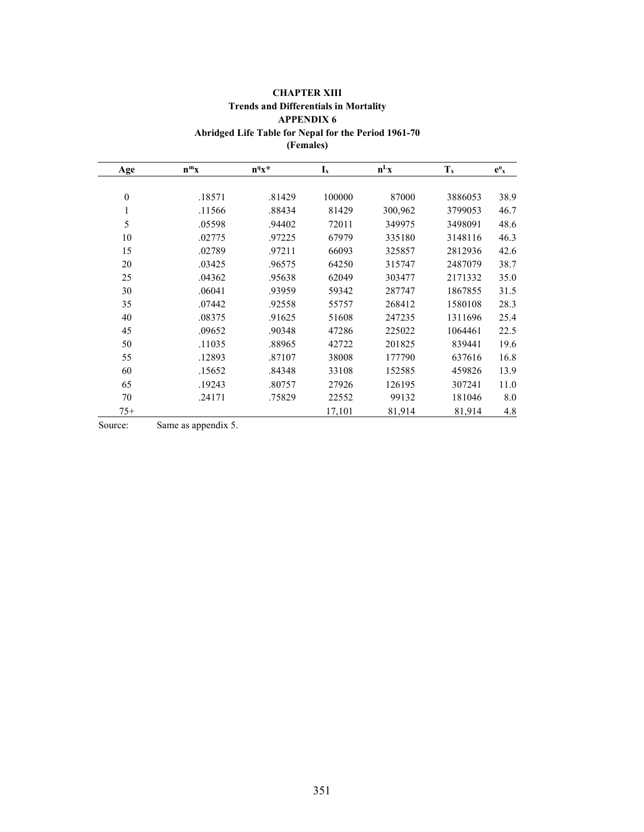|                  |         |           | (Females)                 |         |         |         |
|------------------|---------|-----------|---------------------------|---------|---------|---------|
| Age              | $n^m x$ | $n^q x^*$ | $\mathbf{I}_{\mathbf{x}}$ | $n^Lx$  | $T_{x}$ | $e^o_x$ |
| $\boldsymbol{0}$ | .18571  | .81429    | 100000                    | 87000   | 3886053 | 38.9    |
| $\mathbf{1}$     | .11566  | .88434    | 81429                     | 300,962 | 3799053 | 46.7    |
| 5                | .05598  | .94402    | 72011                     | 349975  | 3498091 | 48.6    |
| 10               | .02775  | .97225    | 67979                     | 335180  | 3148116 | 46.3    |
| 15               | .02789  | .97211    | 66093                     | 325857  | 2812936 | 42.6    |
| 20               | .03425  | .96575    | 64250                     | 315747  | 2487079 | 38.7    |
| 25               | .04362  | .95638    | 62049                     | 303477  | 2171332 | 35.0    |
| 30               | .06041  | .93959    | 59342                     | 287747  | 1867855 | 31.5    |
| 35               | .07442  | .92558    | 55757                     | 268412  | 1580108 | 28.3    |
| 40               | .08375  | .91625    | 51608                     | 247235  | 1311696 | 25.4    |
| 45               | .09652  | .90348    | 47286                     | 225022  | 1064461 | 22.5    |
| 50               | .11035  | .88965    | 42722                     | 201825  | 839441  | 19.6    |
| 55               | .12893  | .87107    | 38008                     | 177790  | 637616  | 16.8    |
| 60               | .15652  | .84348    | 33108                     | 152585  | 459826  | 13.9    |
| 65               | .19243  | .80757    | 27926                     | 126195  | 307241  | 11.0    |
| 70               | .24171  | .75829    | 22552                     | 99132   | 181046  | 8.0     |
| $75+$            |         |           | 17,101                    | 81,914  | 81,914  | 4.8     |

## CHAPTER XIII Trends and Differentials in Mortality APPENDIX 6 Abridged Life Table for Nepal for the Period 1961-70

Source: Same as appendix 5.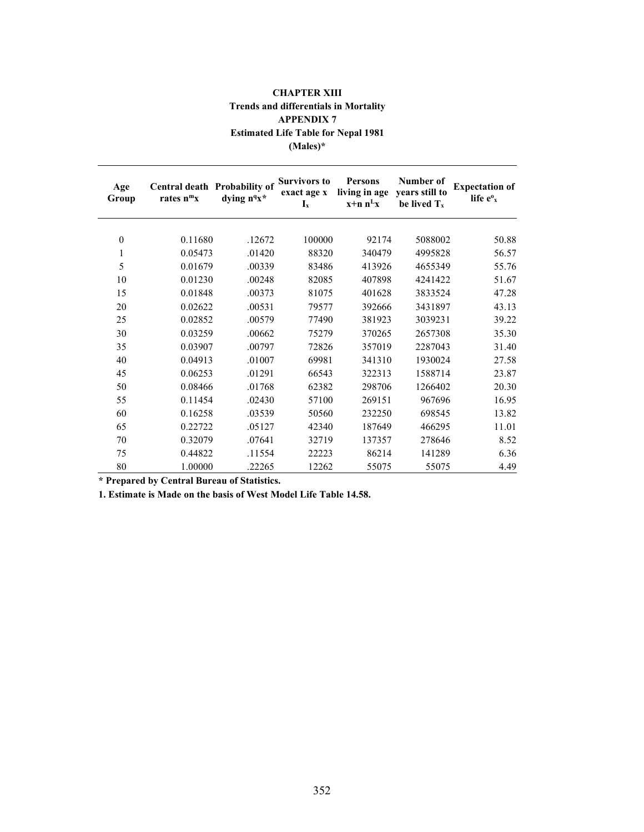| <b>CHAPTER XIII</b>                          |
|----------------------------------------------|
| <b>Trends and differentials in Mortality</b> |
| <b>APPENDIX 7</b>                            |
| <b>Estimated Life Table for Nepal 1981</b>   |
| $(Males)*$                                   |

| Age<br>Group     | Central death Probability of<br>rates $n^m x$ | dying $n^q x^*$ | <b>Survivors to</b><br>exact age x<br>$\mathbf{I}_{\mathbf{x}}$ | <b>Persons</b><br>living in age<br>$x+n n^Lx$ | Number of<br>years still to<br>be lived $T_x$ | <b>Expectation of</b><br>life e <sup>o</sup> x |
|------------------|-----------------------------------------------|-----------------|-----------------------------------------------------------------|-----------------------------------------------|-----------------------------------------------|------------------------------------------------|
| $\boldsymbol{0}$ | 0.11680                                       | .12672          | 100000                                                          | 92174                                         | 5088002                                       | 50.88                                          |
|                  |                                               |                 |                                                                 |                                               |                                               |                                                |
| 1                | 0.05473                                       | .01420          | 88320                                                           | 340479                                        | 4995828                                       | 56.57                                          |
| 5                | 0.01679                                       | .00339          | 83486                                                           | 413926                                        | 4655349                                       | 55.76                                          |
| 10               | 0.01230                                       | .00248          | 82085                                                           | 407898                                        | 4241422                                       | 51.67                                          |
| 15               | 0.01848                                       | .00373          | 81075                                                           | 401628                                        | 3833524                                       | 47.28                                          |
| 20               | 0.02622                                       | .00531          | 79577                                                           | 392666                                        | 3431897                                       | 43.13                                          |
| 25               | 0.02852                                       | .00579          | 77490                                                           | 381923                                        | 3039231                                       | 39.22                                          |
| 30               | 0.03259                                       | .00662          | 75279                                                           | 370265                                        | 2657308                                       | 35.30                                          |
| 35               | 0.03907                                       | .00797          | 72826                                                           | 357019                                        | 2287043                                       | 31.40                                          |
| 40               | 0.04913                                       | .01007          | 69981                                                           | 341310                                        | 1930024                                       | 27.58                                          |
| 45               | 0.06253                                       | .01291          | 66543                                                           | 322313                                        | 1588714                                       | 23.87                                          |
| 50               | 0.08466                                       | .01768          | 62382                                                           | 298706                                        | 1266402                                       | 20.30                                          |
| 55               | 0.11454                                       | .02430          | 57100                                                           | 269151                                        | 967696                                        | 16.95                                          |
| 60               | 0.16258                                       | .03539          | 50560                                                           | 232250                                        | 698545                                        | 13.82                                          |
| 65               | 0.22722                                       | .05127          | 42340                                                           | 187649                                        | 466295                                        | 11.01                                          |
| 70               | 0.32079                                       | .07641          | 32719                                                           | 137357                                        | 278646                                        | 8.52                                           |
| 75               | 0.44822                                       | .11554          | 22223                                                           | 86214                                         | 141289                                        | 6.36                                           |
| 80               | 1.00000                                       | .22265          | 12262                                                           | 55075                                         | 55075                                         | 4.49                                           |

\* Prepared by Central Bureau of Statistics.

1. Estimate is Made on the basis of West Model Life Table 14.58.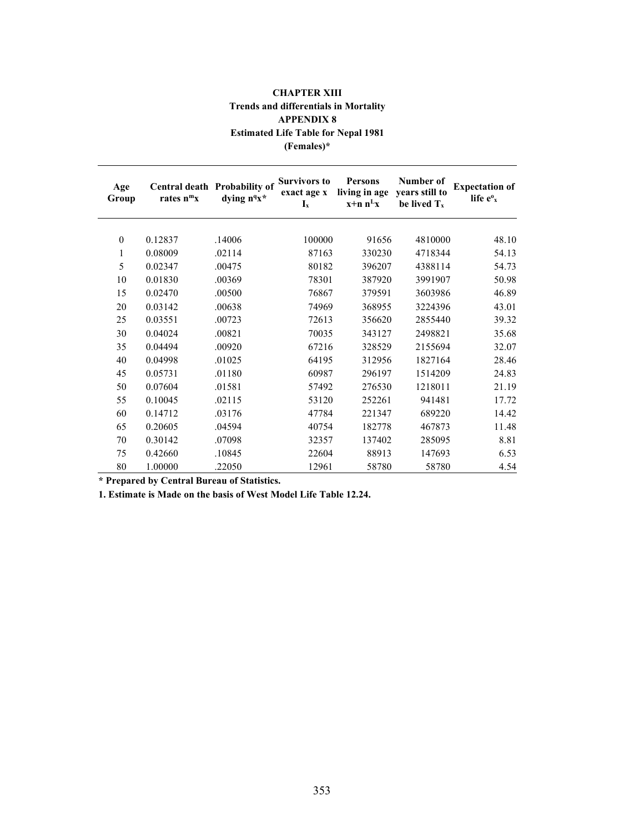| <b>CHAPTER XIII</b>                          |  |  |  |  |  |
|----------------------------------------------|--|--|--|--|--|
| <b>Trends and differentials in Mortality</b> |  |  |  |  |  |
| <b>APPENDIX 8</b>                            |  |  |  |  |  |
| <b>Estimated Life Table for Nepal 1981</b>   |  |  |  |  |  |
| $(Females)*$                                 |  |  |  |  |  |

| Age<br>Group | rates $n^m x$ | Central death Probability of<br>dying n <sup>q</sup> x* | <b>Survivors to</b><br>exact age x<br>$I_x$ | <b>Persons</b><br>living in age<br>$x+n n^Lx$ | Number of<br>years still to<br>be lived T <sub>x</sub> | <b>Expectation of</b><br>life $e^{\theta}$ <sub>x</sub> |
|--------------|---------------|---------------------------------------------------------|---------------------------------------------|-----------------------------------------------|--------------------------------------------------------|---------------------------------------------------------|
| $\mathbf{0}$ | 0.12837       | .14006                                                  | 100000                                      | 91656                                         | 4810000                                                | 48.10                                                   |
| $\mathbf{1}$ | 0.08009       | .02114                                                  | 87163                                       | 330230                                        | 4718344                                                | 54.13                                                   |
| 5            | 0.02347       | .00475                                                  | 80182                                       | 396207                                        | 4388114                                                | 54.73                                                   |
|              |               |                                                         |                                             |                                               |                                                        |                                                         |
| 10           | 0.01830       | .00369                                                  | 78301                                       | 387920                                        | 3991907                                                | 50.98                                                   |
| 15           | 0.02470       | .00500                                                  | 76867                                       | 379591                                        | 3603986                                                | 46.89                                                   |
| 20           | 0.03142       | .00638                                                  | 74969                                       | 368955                                        | 3224396                                                | 43.01                                                   |
| 25           | 0.03551       | .00723                                                  | 72613                                       | 356620                                        | 2855440                                                | 39.32                                                   |
| 30           | 0.04024       | .00821                                                  | 70035                                       | 343127                                        | 2498821                                                | 35.68                                                   |
| 35           | 0.04494       | .00920                                                  | 67216                                       | 328529                                        | 2155694                                                | 32.07                                                   |
| 40           | 0.04998       | .01025                                                  | 64195                                       | 312956                                        | 1827164                                                | 28.46                                                   |
| 45           | 0.05731       | .01180                                                  | 60987                                       | 296197                                        | 1514209                                                | 24.83                                                   |
| 50           | 0.07604       | .01581                                                  | 57492                                       | 276530                                        | 1218011                                                | 21.19                                                   |
| 55           | 0.10045       | .02115                                                  | 53120                                       | 252261                                        | 941481                                                 | 17.72                                                   |
| 60           | 0.14712       | .03176                                                  | 47784                                       | 221347                                        | 689220                                                 | 14.42                                                   |
| 65           | 0.20605       | .04594                                                  | 40754                                       | 182778                                        | 467873                                                 | 11.48                                                   |
| 70           | 0.30142       | .07098                                                  | 32357                                       | 137402                                        | 285095                                                 | 8.81                                                    |
| 75           | 0.42660       | .10845                                                  | 22604                                       | 88913                                         | 147693                                                 | 6.53                                                    |
| 80           | 1.00000       | .22050                                                  | 12961                                       | 58780                                         | 58780                                                  | 4.54                                                    |

\* Prepared by Central Bureau of Statistics.

1. Estimate is Made on the basis of West Model Life Table 12.24.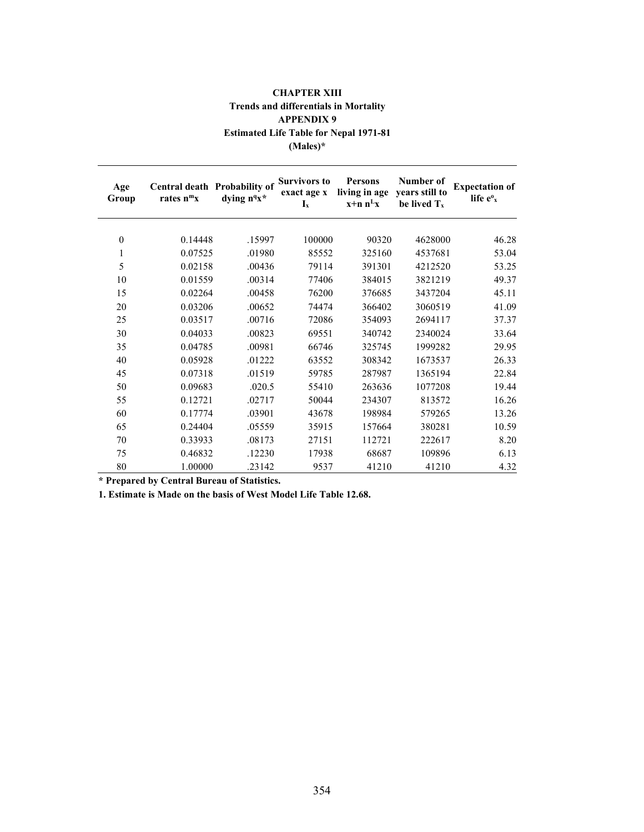## CHAPTER XIII Trends and differentials in Mortality APPENDIX 9 Estimated Life Table for Nepal 1971-81 (Males)\*

| Age<br>Group     | Central death Probability of<br>rates $n^m x$ | dying n <sup>q</sup> x <sup>*</sup> | <b>Survivors to</b><br>exact age x<br>$I_x$ | <b>Persons</b><br>living in age<br>$x+n n^Lx$ | Number of<br>years still to<br>be lived $T_x$ | <b>Expectation of</b><br>life $e^{\theta}$ <sub>x</sub> |
|------------------|-----------------------------------------------|-------------------------------------|---------------------------------------------|-----------------------------------------------|-----------------------------------------------|---------------------------------------------------------|
| $\boldsymbol{0}$ | 0.14448                                       | .15997                              | 100000                                      | 90320                                         | 4628000                                       | 46.28                                                   |
|                  |                                               |                                     |                                             |                                               |                                               |                                                         |
| 1                | 0.07525                                       | .01980                              | 85552                                       | 325160                                        | 4537681                                       | 53.04                                                   |
| 5                | 0.02158                                       | .00436                              | 79114                                       | 391301                                        | 4212520                                       | 53.25                                                   |
| 10               | 0.01559                                       | .00314                              | 77406                                       | 384015                                        | 3821219                                       | 49.37                                                   |
| 15               | 0.02264                                       | .00458                              | 76200                                       | 376685                                        | 3437204                                       | 45.11                                                   |
| 20               | 0.03206                                       | .00652                              | 74474                                       | 366402                                        | 3060519                                       | 41.09                                                   |
| 25               | 0.03517                                       | .00716                              | 72086                                       | 354093                                        | 2694117                                       | 37.37                                                   |
| 30               | 0.04033                                       | .00823                              | 69551                                       | 340742                                        | 2340024                                       | 33.64                                                   |
| 35               | 0.04785                                       | .00981                              | 66746                                       | 325745                                        | 1999282                                       | 29.95                                                   |
| 40               | 0.05928                                       | .01222                              | 63552                                       | 308342                                        | 1673537                                       | 26.33                                                   |
| 45               | 0.07318                                       | .01519                              | 59785                                       | 287987                                        | 1365194                                       | 22.84                                                   |
| 50               | 0.09683                                       | .020.5                              | 55410                                       | 263636                                        | 1077208                                       | 19.44                                                   |
| 55               | 0.12721                                       | .02717                              | 50044                                       | 234307                                        | 813572                                        | 16.26                                                   |
| 60               | 0.17774                                       | .03901                              | 43678                                       | 198984                                        | 579265                                        | 13.26                                                   |
| 65               | 0.24404                                       | .05559                              | 35915                                       | 157664                                        | 380281                                        | 10.59                                                   |
| 70               | 0.33933                                       | .08173                              | 27151                                       | 112721                                        | 222617                                        | 8.20                                                    |
| 75               | 0.46832                                       | .12230                              | 17938                                       | 68687                                         | 109896                                        | 6.13                                                    |
| 80               | 1.00000                                       | .23142                              | 9537                                        | 41210                                         | 41210                                         | 4.32                                                    |

\* Prepared by Central Bureau of Statistics.

1. Estimate is Made on the basis of West Model Life Table 12.68.